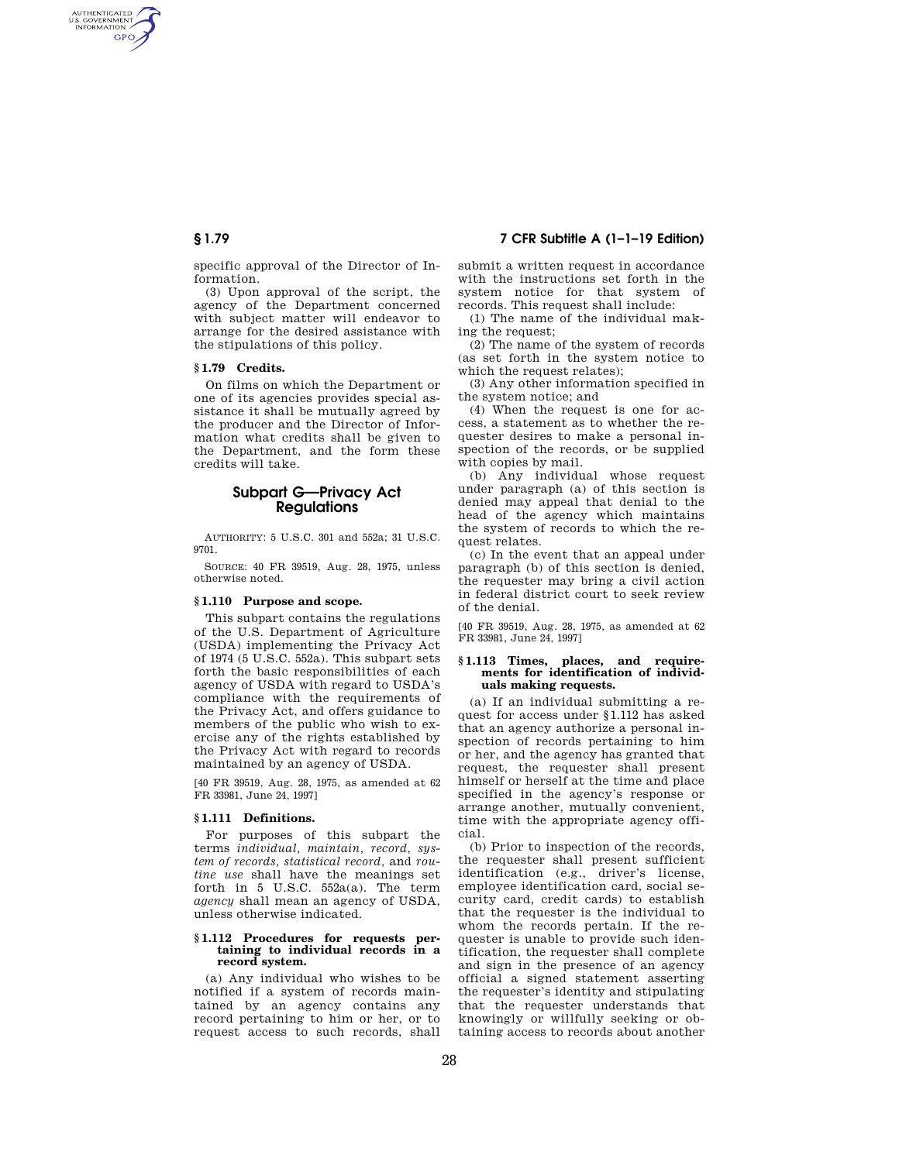## **§ 1.79 7 CFR Subtitle A (1–1–19 Edition)**

AUTHENTICATED<br>U.S. GOVERNMENT<br>INFORMATION **GPO** 

> specific approval of the Director of Information.

> (3) Upon approval of the script, the agency of the Department concerned with subject matter will endeavor to arrange for the desired assistance with the stipulations of this policy.

## **§ 1.79 Credits.**

On films on which the Department or one of its agencies provides special assistance it shall be mutually agreed by the producer and the Director of Information what credits shall be given to the Department, and the form these credits will take.

# **Subpart G—Privacy Act Regulations**

AUTHORITY: 5 U.S.C. 301 and 552a; 31 U.S.C. 9701.

SOURCE: 40 FR 39519, Aug. 28, 1975, unless otherwise noted.

## **§ 1.110 Purpose and scope.**

This subpart contains the regulations of the U.S. Department of Agriculture (USDA) implementing the Privacy Act of 1974 (5 U.S.C. 552a). This subpart sets forth the basic responsibilities of each agency of USDA with regard to USDA's compliance with the requirements of the Privacy Act, and offers guidance to members of the public who wish to exercise any of the rights established by the Privacy Act with regard to records maintained by an agency of USDA.

[40 FR 39519, Aug. 28, 1975, as amended at 62 FR 33981, June 24, 1997]

## **§ 1.111 Definitions.**

For purposes of this subpart the terms *individual, maintain, record, system of records, statistical record,* and *routine use* shall have the meanings set forth in 5 U.S.C. 552a(a). The term *agency* shall mean an agency of USDA, unless otherwise indicated.

#### **§ 1.112 Procedures for requests pertaining to individual records in a record system.**

(a) Any individual who wishes to be notified if a system of records maintained by an agency contains any record pertaining to him or her, or to request access to such records, shall submit a written request in accordance with the instructions set forth in the system notice for that system of records. This request shall include:

(1) The name of the individual making the request;

(2) The name of the system of records (as set forth in the system notice to which the request relates);

(3) Any other information specified in the system notice; and

(4) When the request is one for access, a statement as to whether the requester desires to make a personal inspection of the records, or be supplied with copies by mail.

(b) Any individual whose request under paragraph (a) of this section is denied may appeal that denial to the head of the agency which maintains the system of records to which the request relates.

(c) In the event that an appeal under paragraph (b) of this section is denied, the requester may bring a civil action in federal district court to seek review of the denial.

[40 FR 39519, Aug. 28, 1975, as amended at 62 FR 33981, June 24, 1997]

#### **§ 1.113 Times, places, and requirements for identification of individuals making requests.**

(a) If an individual submitting a request for access under §1.112 has asked that an agency authorize a personal inspection of records pertaining to him or her, and the agency has granted that request, the requester shall present himself or herself at the time and place specified in the agency's response or arrange another, mutually convenient, time with the appropriate agency official.

(b) Prior to inspection of the records, the requester shall present sufficient identification (e.g., driver's license, employee identification card, social security card, credit cards) to establish that the requester is the individual to whom the records pertain. If the requester is unable to provide such identification, the requester shall complete and sign in the presence of an agency official a signed statement asserting the requester's identity and stipulating that the requester understands that knowingly or willfully seeking or obtaining access to records about another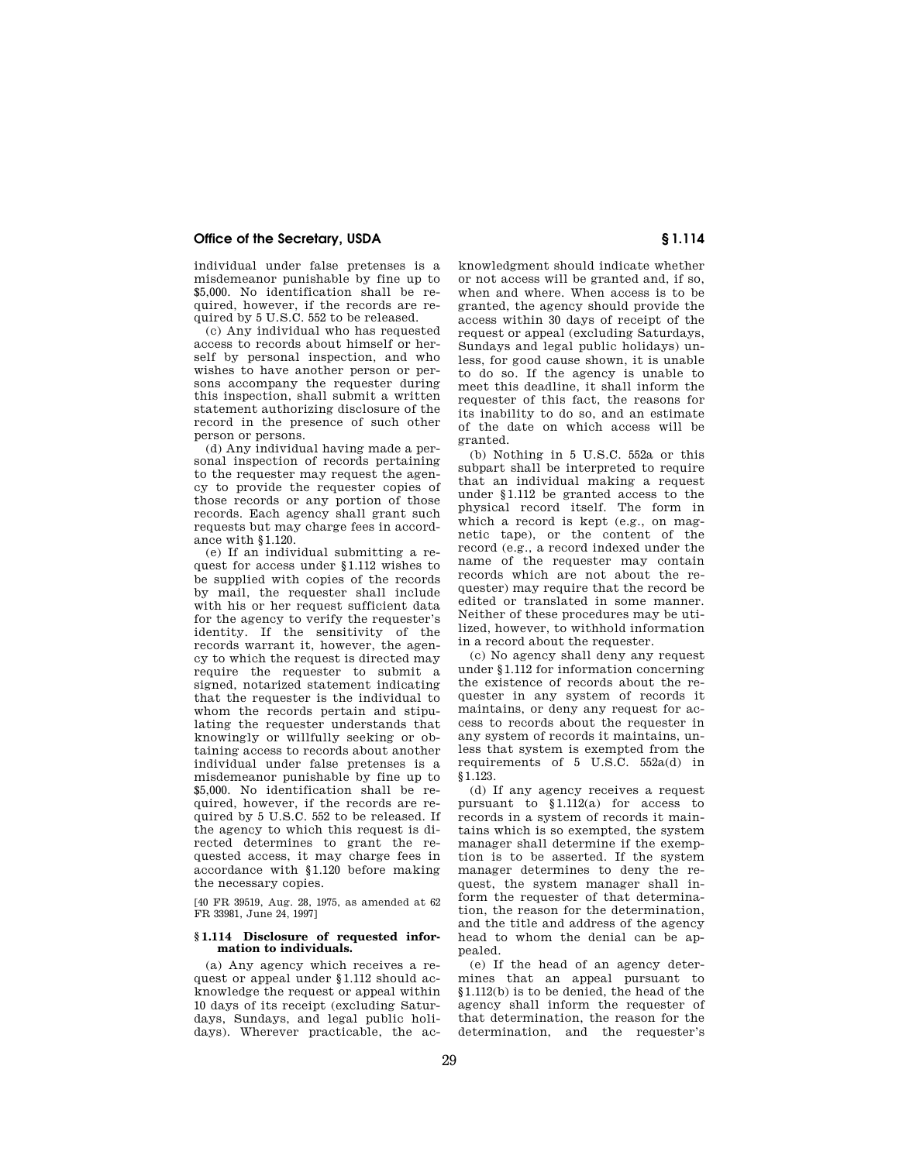## **Office of the Secretary, USDA § 1.114**

individual under false pretenses is a misdemeanor punishable by fine up to \$5,000. No identification shall be required, however, if the records are required by 5 U.S.C. 552 to be released.

(c) Any individual who has requested access to records about himself or herself by personal inspection, and who wishes to have another person or persons accompany the requester during this inspection, shall submit a written statement authorizing disclosure of the record in the presence of such other person or persons.

(d) Any individual having made a personal inspection of records pertaining to the requester may request the agency to provide the requester copies of those records or any portion of those records. Each agency shall grant such requests but may charge fees in accordance with §1.120.

(e) If an individual submitting a request for access under §1.112 wishes to be supplied with copies of the records by mail, the requester shall include with his or her request sufficient data for the agency to verify the requester's identity. If the sensitivity of the records warrant it, however, the agency to which the request is directed may require the requester to submit a signed, notarized statement indicating that the requester is the individual to whom the records pertain and stipulating the requester understands that knowingly or willfully seeking or obtaining access to records about another individual under false pretenses is a misdemeanor punishable by fine up to \$5,000. No identification shall be required, however, if the records are required by 5 U.S.C. 552 to be released. If the agency to which this request is directed determines to grant the requested access, it may charge fees in accordance with §1.120 before making the necessary copies.

[40 FR 39519, Aug. 28, 1975, as amended at 62 FR 33981, June 24, 1997]

## **§ 1.114 Disclosure of requested information to individuals.**

(a) Any agency which receives a request or appeal under §1.112 should acknowledge the request or appeal within 10 days of its receipt (excluding Saturdays, Sundays, and legal public holidays). Wherever practicable, the acknowledgment should indicate whether or not access will be granted and, if so, when and where. When access is to be granted, the agency should provide the access within 30 days of receipt of the request or appeal (excluding Saturdays, Sundays and legal public holidays) unless, for good cause shown, it is unable to do so. If the agency is unable to meet this deadline, it shall inform the requester of this fact, the reasons for its inability to do so, and an estimate of the date on which access will be granted.

(b) Nothing in 5 U.S.C. 552a or this subpart shall be interpreted to require that an individual making a request under §1.112 be granted access to the physical record itself. The form in which a record is kept (e.g., on magnetic tape), or the content of the record (e.g., a record indexed under the name of the requester may contain records which are not about the requester) may require that the record be edited or translated in some manner. Neither of these procedures may be utilized, however, to withhold information in a record about the requester.

(c) No agency shall deny any request under §1.112 for information concerning the existence of records about the requester in any system of records it maintains, or deny any request for access to records about the requester in any system of records it maintains, unless that system is exempted from the requirements of 5 U.S.C. 552a(d) in §1.123.

(d) If any agency receives a request pursuant to §1.112(a) for access to records in a system of records it maintains which is so exempted, the system manager shall determine if the exemption is to be asserted. If the system manager determines to deny the request, the system manager shall inform the requester of that determination, the reason for the determination, and the title and address of the agency head to whom the denial can be appealed.

(e) If the head of an agency determines that an appeal pursuant to §1.112(b) is to be denied, the head of the agency shall inform the requester of that determination, the reason for the determination, and the requester's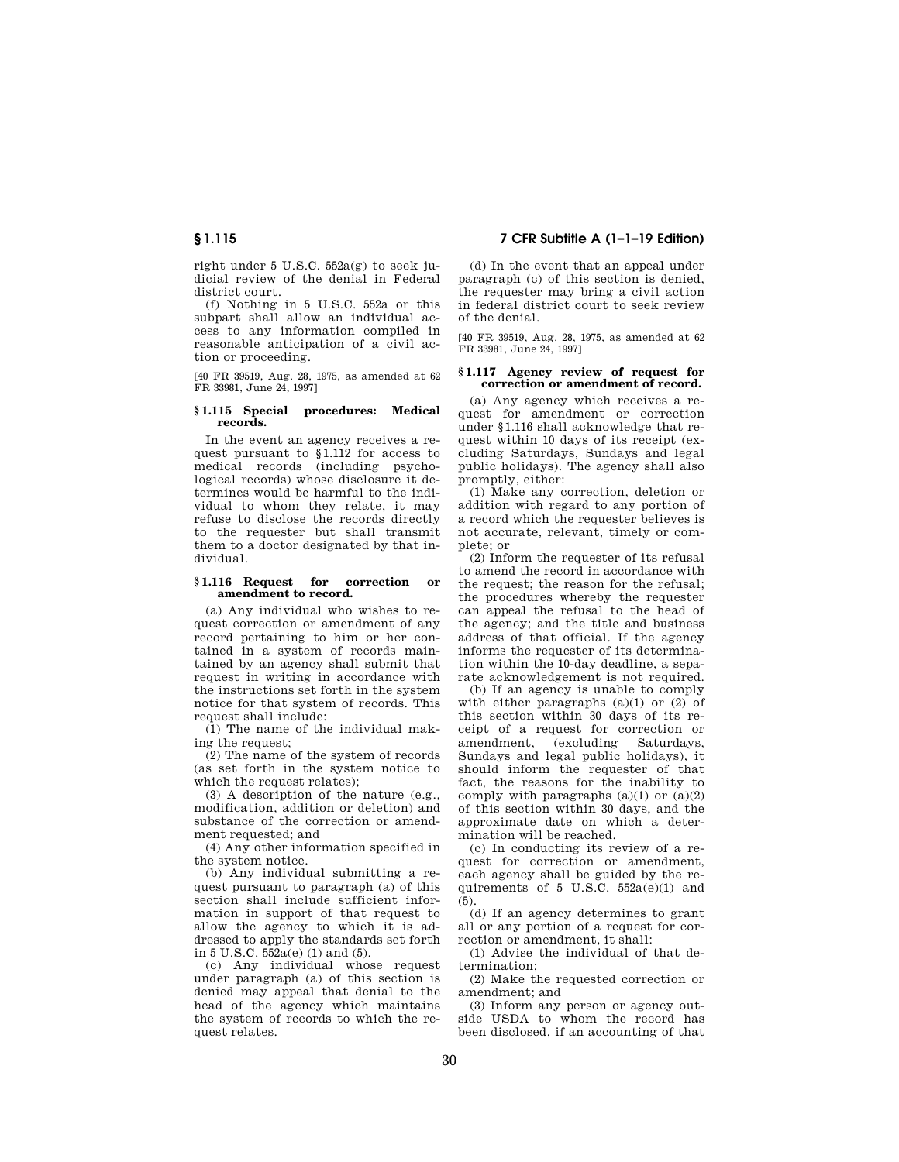right under 5 U.S.C. 552a(g) to seek judicial review of the denial in Federal district court.

(f) Nothing in 5 U.S.C. 552a or this subpart shall allow an individual access to any information compiled in reasonable anticipation of a civil action or proceeding.

[40 FR 39519, Aug. 28, 1975, as amended at 62 FR 33981, June 24, 1997]

## **§ 1.115 Special procedures: Medical records.**

In the event an agency receives a request pursuant to §1.112 for access to medical records (including psychological records) whose disclosure it determines would be harmful to the individual to whom they relate, it may refuse to disclose the records directly to the requester but shall transmit them to a doctor designated by that individual.

### **§ 1.116 Request for correction or amendment to record.**

(a) Any individual who wishes to request correction or amendment of any record pertaining to him or her contained in a system of records maintained by an agency shall submit that request in writing in accordance with the instructions set forth in the system notice for that system of records. This request shall include:

(1) The name of the individual making the request;

(2) The name of the system of records (as set forth in the system notice to which the request relates);

(3) A description of the nature (e.g., modification, addition or deletion) and substance of the correction or amendment requested; and

(4) Any other information specified in the system notice.

(b) Any individual submitting a request pursuant to paragraph (a) of this section shall include sufficient information in support of that request to allow the agency to which it is addressed to apply the standards set forth in 5 U.S.C. 552a(e) (1) and (5).

(c) Any individual whose request under paragraph (a) of this section is denied may appeal that denial to the head of the agency which maintains the system of records to which the request relates.

**§ 1.115 7 CFR Subtitle A (1–1–19 Edition)** 

(d) In the event that an appeal under paragraph (c) of this section is denied, the requester may bring a civil action in federal district court to seek review of the denial.

[40 FR 39519, Aug. 28, 1975, as amended at 62 FR 33981, June 24, 1997]

## **§ 1.117 Agency review of request for correction or amendment of record.**

(a) Any agency which receives a request for amendment or correction under §1.116 shall acknowledge that request within 10 days of its receipt (excluding Saturdays, Sundays and legal public holidays). The agency shall also promptly, either:

(1) Make any correction, deletion or addition with regard to any portion of a record which the requester believes is not accurate, relevant, timely or complete; or

(2) Inform the requester of its refusal to amend the record in accordance with the request; the reason for the refusal; the procedures whereby the requester can appeal the refusal to the head of the agency; and the title and business address of that official. If the agency informs the requester of its determination within the 10-day deadline, a separate acknowledgement is not required.

(b) If an agency is unable to comply with either paragraphs  $(a)(1)$  or  $(2)$  of this section within 30 days of its receipt of a request for correction or amendment, (excluding Saturdays, Sundays and legal public holidays), it should inform the requester of that fact, the reasons for the inability to comply with paragraphs  $(a)(1)$  or  $(a)(2)$ of this section within 30 days, and the approximate date on which a determination will be reached.

(c) In conducting its review of a request for correction or amendment. each agency shall be guided by the requirements of 5 U.S.C.  $552a(e)(1)$  and (5).

(d) If an agency determines to grant all or any portion of a request for correction or amendment, it shall:

(1) Advise the individual of that determination;

(2) Make the requested correction or amendment; and

(3) Inform any person or agency outside USDA to whom the record has been disclosed, if an accounting of that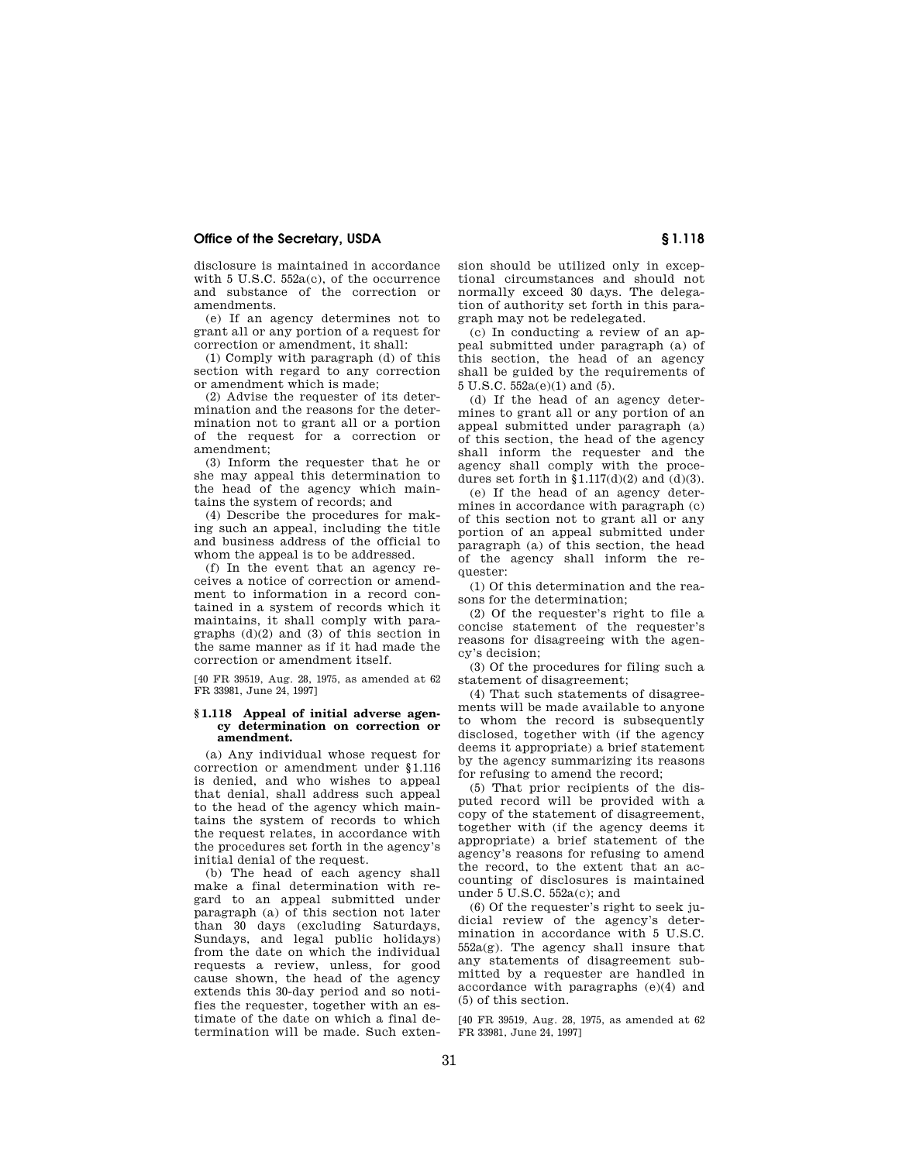## **Office of the Secretary, USDA § 1.118**

disclosure is maintained in accordance with 5 U.S.C. 552a(c), of the occurrence and substance of the correction or amendments.

(e) If an agency determines not to grant all or any portion of a request for correction or amendment, it shall:

(1) Comply with paragraph (d) of this section with regard to any correction or amendment which is made;

(2) Advise the requester of its determination and the reasons for the determination not to grant all or a portion of the request for a correction or amendment;

(3) Inform the requester that he or she may appeal this determination to the head of the agency which maintains the system of records; and

(4) Describe the procedures for making such an appeal, including the title and business address of the official to whom the appeal is to be addressed.

(f) In the event that an agency receives a notice of correction or amendment to information in a record contained in a system of records which it maintains, it shall comply with paragraphs  $(d)(2)$  and  $(3)$  of this section in the same manner as if it had made the correction or amendment itself.

[40 FR 39519, Aug. 28, 1975, as amended at 62 FR 33981, June 24, 1997]

#### **§ 1.118 Appeal of initial adverse agency determination on correction or amendment.**

(a) Any individual whose request for correction or amendment under §1.116 is denied, and who wishes to appeal that denial, shall address such appeal to the head of the agency which maintains the system of records to which the request relates, in accordance with the procedures set forth in the agency's initial denial of the request.

(b) The head of each agency shall make a final determination with regard to an appeal submitted under paragraph (a) of this section not later than 30 days (excluding Saturdays, Sundays, and legal public holidays) from the date on which the individual requests a review, unless, for good cause shown, the head of the agency extends this 30-day period and so notifies the requester, together with an estimate of the date on which a final determination will be made. Such extension should be utilized only in exceptional circumstances and should not normally exceed 30 days. The delegation of authority set forth in this paragraph may not be redelegated.

(c) In conducting a review of an appeal submitted under paragraph (a) of this section, the head of an agency shall be guided by the requirements of 5 U.S.C. 552a(e)(1) and (5).

(d) If the head of an agency determines to grant all or any portion of an appeal submitted under paragraph (a) of this section, the head of the agency shall inform the requester and the agency shall comply with the procedures set forth in  $$1.117(d)(2)$  and  $(d)(3)$ .

(e) If the head of an agency determines in accordance with paragraph (c) of this section not to grant all or any portion of an appeal submitted under paragraph (a) of this section, the head of the agency shall inform the requester:

(1) Of this determination and the reasons for the determination;

(2) Of the requester's right to file a concise statement of the requester's reasons for disagreeing with the agency's decision;

(3) Of the procedures for filing such a statement of disagreement;

(4) That such statements of disagreements will be made available to anyone to whom the record is subsequently disclosed, together with (if the agency deems it appropriate) a brief statement by the agency summarizing its reasons for refusing to amend the record;

(5) That prior recipients of the disputed record will be provided with a copy of the statement of disagreement, together with (if the agency deems it appropriate) a brief statement of the agency's reasons for refusing to amend the record, to the extent that an accounting of disclosures is maintained under 5 U.S.C. 552a(c); and

(6) Of the requester's right to seek judicial review of the agency's determination in accordance with 5 U.S.C. 552a(g). The agency shall insure that any statements of disagreement submitted by a requester are handled in accordance with paragraphs (e)(4) and (5) of this section.

[40 FR 39519, Aug. 28, 1975, as amended at 62 FR 33981, June 24, 1997]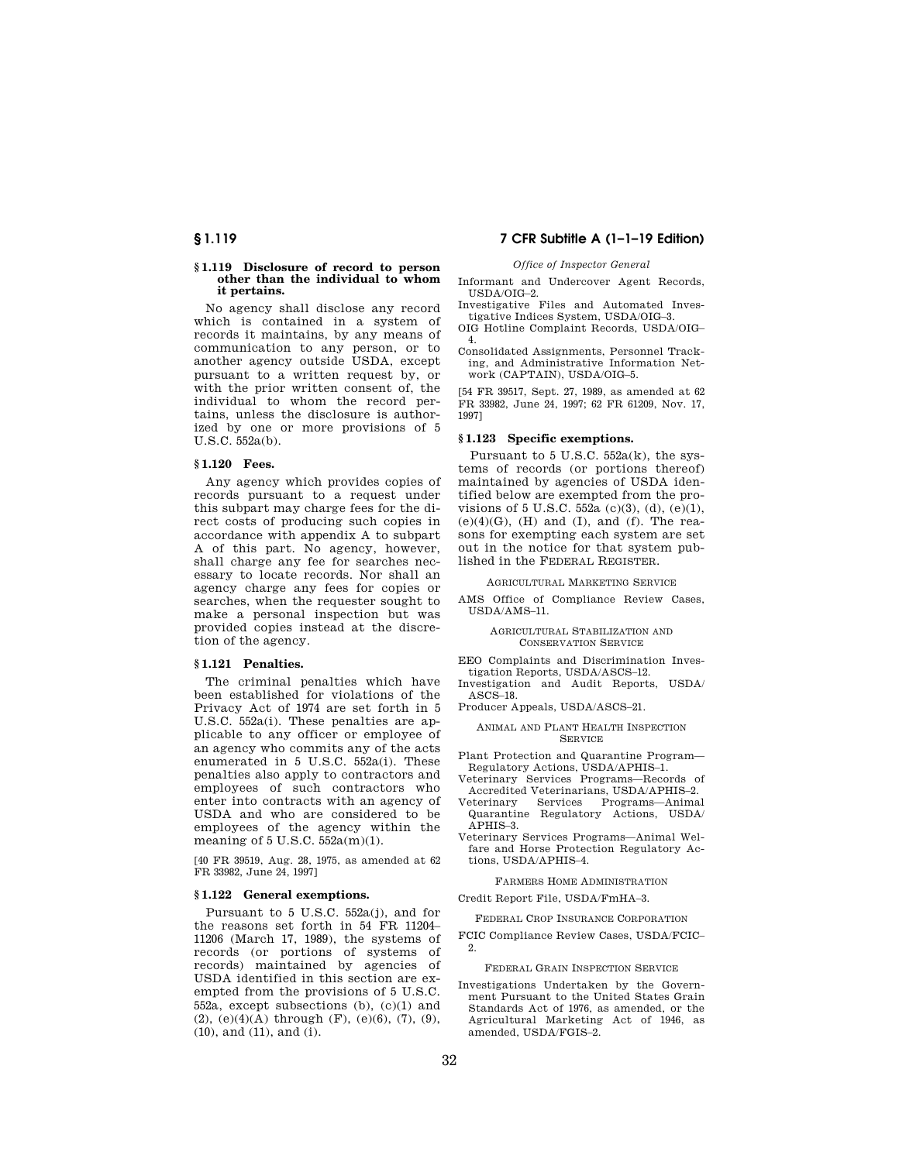## **§ 1.119 Disclosure of record to person other than the individual to whom it pertains.**

No agency shall disclose any record which is contained in a system of records it maintains, by any means of communication to any person, or to another agency outside USDA, except pursuant to a written request by, or with the prior written consent of, the individual to whom the record pertains, unless the disclosure is authorized by one or more provisions of 5 U.S.C. 552a(b).

## **§ 1.120 Fees.**

Any agency which provides copies of records pursuant to a request under this subpart may charge fees for the direct costs of producing such copies in accordance with appendix A to subpart A of this part. No agency, however, shall charge any fee for searches necessary to locate records. Nor shall an agency charge any fees for copies or searches, when the requester sought to make a personal inspection but was provided copies instead at the discretion of the agency.

## **§ 1.121 Penalties.**

The criminal penalties which have been established for violations of the Privacy Act of 1974 are set forth in 5 U.S.C. 552a(i). These penalties are applicable to any officer or employee of an agency who commits any of the acts enumerated in 5 U.S.C. 552a(i). These penalties also apply to contractors and employees of such contractors who enter into contracts with an agency of USDA and who are considered to be employees of the agency within the meaning of 5 U.S.C. 552a(m)(1).

[40 FR 39519, Aug. 28, 1975, as amended at 62 FR 33982, June 24, 1997]

## **§ 1.122 General exemptions.**

Pursuant to 5 U.S.C. 552a(j), and for the reasons set forth in 54 FR 11204– 11206 (March 17, 1989), the systems of records (or portions of systems of records) maintained by agencies of USDA identified in this section are exempted from the provisions of 5 U.S.C. 552a, except subsections (b), (c)(1) and (2), (e)(4)(A) through (F), (e)(6), (7), (9), (10), and (11), and (i).

# **§ 1.119 7 CFR Subtitle A (1–1–19 Edition)**

#### *Office of Inspector General*

Informant and Undercover Agent Records, USDA/OIG–2.

- Investigative Files and Automated Investigative Indices System, USDA/OIG–3. OIG Hotline Complaint Records, USDA/OIG– 4.
- Consolidated Assignments, Personnel Tracking, and Administrative Information Network (CAPTAIN), USDA/OIG–5.

[54 FR 39517, Sept. 27, 1989, as amended at 62 FR 33982, June 24, 1997; 62 FR 61209, Nov. 17, 1997]

## **§ 1.123 Specific exemptions.**

Pursuant to 5 U.S.C. 552a(k), the systems of records (or portions thereof) maintained by agencies of USDA identified below are exempted from the provisions of 5 U.S.C. 552a (c)(3), (d), (e)(1),  $(e)(4)(G)$ ,  $(H)$  and  $(I)$ , and  $(f)$ . The reasons for exempting each system are set out in the notice for that system published in the FEDERAL REGISTER.

AGRICULTURAL MARKETING SERVICE

AMS Office of Compliance Review Cases, USDA/AMS–11.

## AGRICULTURAL STABILIZATION AND CONSERVATION SERVICE

EEO Complaints and Discrimination Investigation Reports, USDA/ASCS–12.

Investigation and Audit Reports, USDA/ ASCS–18.

Producer Appeals, USDA/ASCS–21.

## ANIMAL AND PLANT HEALTH INSPECTION SERVICE

- Plant Protection and Quarantine Program— Regulatory Actions, USDA/APHIS–1.
- Veterinary Services Programs—Records of Accredited Veterinarians, USDA/APHIS–2.
- Veterinary Services Programs—Animal Quarantine Regulatory Actions, USDA/ APHIS–3.
- Veterinary Services Programs—Animal Welfare and Horse Protection Regulatory Actions, USDA/APHIS–4.

## FARMERS HOME ADMINISTRATION

Credit Report File, USDA/FmHA–3.

FEDERAL CROP INSURANCE CORPORATION

FCIC Compliance Review Cases, USDA/FCIC– 2.

### FEDERAL GRAIN INSPECTION SERVICE

Investigations Undertaken by the Government Pursuant to the United States Grain Standards Act of 1976, as amended, or the Agricultural Marketing Act of 1946, as amended, USDA/FGIS–2.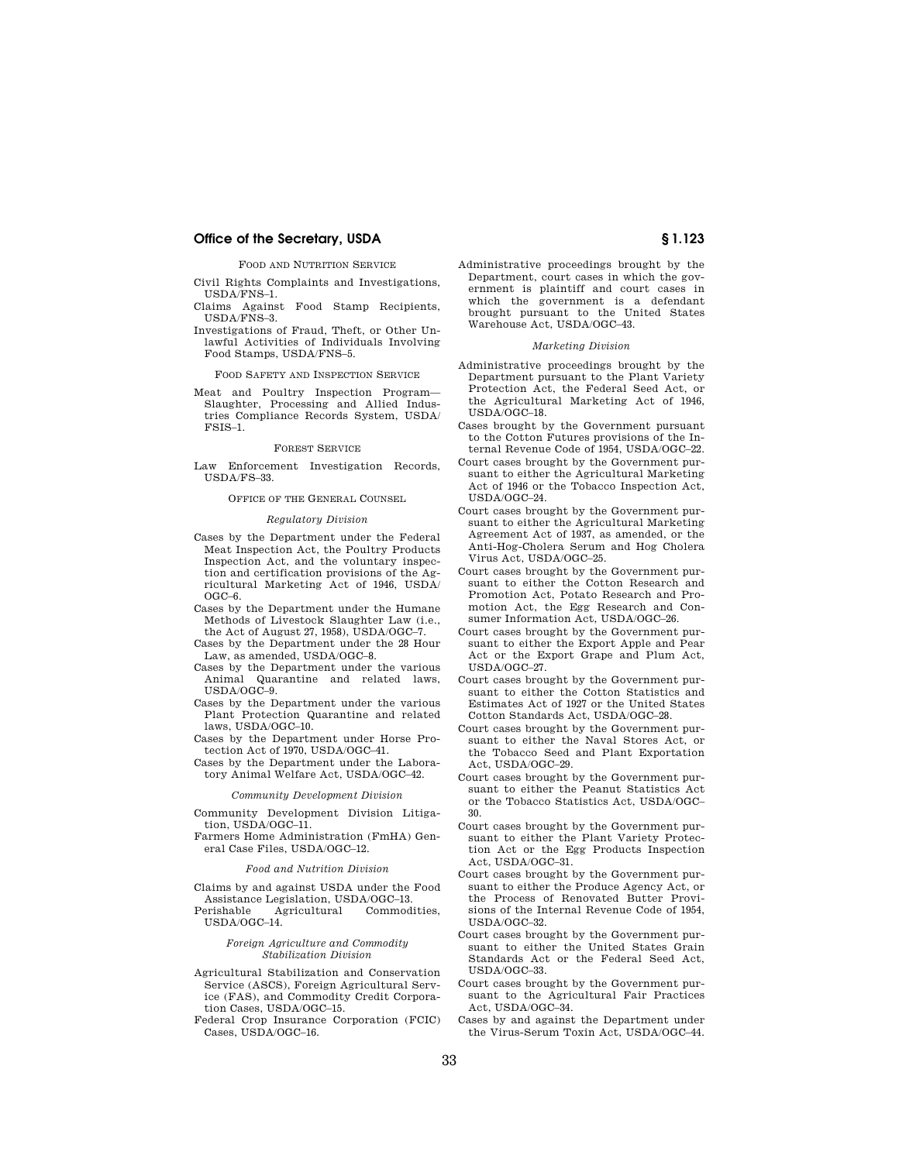## **Office of the Secretary, USDA § 1.123**

## FOOD AND NUTRITION SERVICE

Civil Rights Complaints and Investigations, USDA/FNS–1.

- Claims Against Food Stamp Recipients, USDA/FNS–3.
- Investigations of Fraud, Theft, or Other Unlawful Activities of Individuals Involving Food Stamps, USDA/FNS–5.

FOOD SAFETY AND INSPECTION SERVICE

Meat and Poultry Inspection Program— Slaughter, Processing and Allied Industries Compliance Records System, USDA/ FSIS–1.

#### FOREST SERVICE

Law Enforcement Investigation Records, USDA/FS–33.

OFFICE OF THE GENERAL COUNSEL

#### *Regulatory Division*

- Cases by the Department under the Federal Meat Inspection Act, the Poultry Products Inspection Act, and the voluntary inspection and certification provisions of the Agricultural Marketing Act of 1946, USDA/ OGC–6.
- Cases by the Department under the Humane Methods of Livestock Slaughter Law (i.e., the Act of August 27, 1958), USDA/OGC–7.
- Cases by the Department under the 28 Hour Law, as amended, USDA/OGC–8.
- Cases by the Department under the various Animal Quarantine and related laws, USDA/OGC–9.
- Cases by the Department under the various Plant Protection Quarantine and related laws, USDA/OGC–10.
- Cases by the Department under Horse Protection Act of 1970, USDA/OGC–41.
- Cases by the Department under the Laboratory Animal Welfare Act, USDA/OGC–42.

#### *Community Development Division*

- Community Development Division Litigation, USDA/OGC–11.
- Farmers Home Administration (FmHA) General Case Files, USDA/OGC–12.

## *Food and Nutrition Division*

- Claims by and against USDA under the Food Assistance Legislation, USDA/OGC–13.
- Agricultural Commodities, USDA/OGC–14.

#### *Foreign Agriculture and Commodity Stabilization Division*

- Agricultural Stabilization and Conservation Service (ASCS), Foreign Agricultural Service (FAS), and Commodity Credit Corporation Cases, USDA/OGC–15.
- Federal Crop Insurance Corporation (FCIC) Cases, USDA/OGC–16.

Administrative proceedings brought by the Department, court cases in which the government is plaintiff and court cases in which the government is a defendant brought pursuant to the United States Warehouse Act, USDA/OGC–43.

#### *Marketing Division*

- Administrative proceedings brought by the Department pursuant to the Plant Variety Protection Act, the Federal Seed Act, or the Agricultural Marketing Act of 1946, USDA/OGC–18.
- Cases brought by the Government pursuant to the Cotton Futures provisions of the Internal Revenue Code of 1954, USDA/OGC–22.
- Court cases brought by the Government pursuant to either the Agricultural Marketing Act of 1946 or the Tobacco Inspection Act, USDA/OGC–24.
- Court cases brought by the Government pursuant to either the Agricultural Marketing Agreement Act of 1937, as amended, or the Anti-Hog-Cholera Serum and Hog Cholera Virus Act, USDA/OGC–25.
- Court cases brought by the Government pursuant to either the Cotton Research and Promotion Act, Potato Research and Promotion Act, the Egg Research and Consumer Information Act, USDA/OGC–26.
- Court cases brought by the Government pursuant to either the Export Apple and Pear Act or the Export Grape and Plum Act, USDA/OGC–27.
- Court cases brought by the Government pursuant to either the Cotton Statistics and Estimates Act of 1927 or the United States Cotton Standards Act, USDA/OGC–28.
- Court cases brought by the Government pursuant to either the Naval Stores Act, or the Tobacco Seed and Plant Exportation Act, USDA/OGC–29.
- Court cases brought by the Government pursuant to either the Peanut Statistics Act or the Tobacco Statistics Act, USDA/OGC– 30.
- Court cases brought by the Government pursuant to either the Plant Variety Protection Act or the Egg Products Inspection Act, USDA/OGC–31.
- Court cases brought by the Government pursuant to either the Produce Agency Act, or the Process of Renovated Butter Provisions of the Internal Revenue Code of 1954, USDA/OGC–32.
- Court cases brought by the Government pursuant to either the United States Grain Standards Act or the Federal Seed Act, USDA/OGC–33.
- Court cases brought by the Government pursuant to the Agricultural Fair Practices Act, USDA/OGC–34.
- Cases by and against the Department under the Virus-Serum Toxin Act, USDA/OGC–44.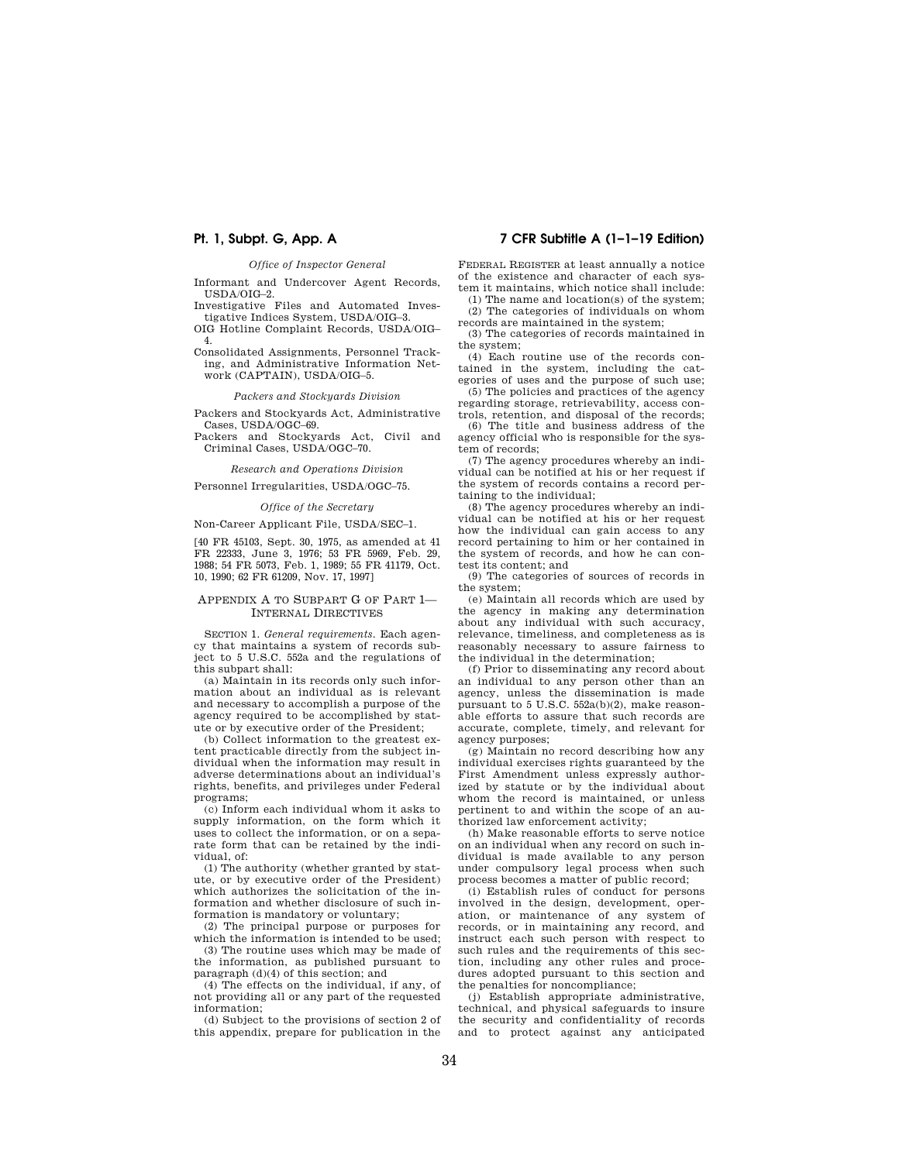#### *Office of Inspector General*

Informant and Undercover Agent Records, USDA/OIG–2.

Investigative Files and Automated Investigative Indices System, USDA/OIG–3. OIG Hotline Complaint Records, USDA/OIG–

4.

Consolidated Assignments, Personnel Tracking, and Administrative Information Network (CAPTAIN), USDA/OIG–5.

## *Packers and Stockyards Division*

Packers and Stockyards Act, Administrative Cases, USDA/OGC–69.

Packers and Stockyards Act, Civil and Criminal Cases, USDA/OGC–70.

### *Research and Operations Division*

Personnel Irregularities, USDA/OGC–75.

## *Office of the Secretary*

Non-Career Applicant File, USDA/SEC–1.

[40 FR 45103, Sept. 30, 1975, as amended at 41 FR 22333, June 3, 1976; 53 FR 5969, Feb. 29, 1988; 54 FR 5073, Feb. 1, 1989; 55 FR 41179, Oct. 10, 1990; 62 FR 61209, Nov. 17, 1997]

## APPENDIX A TO SUBPART G OF PART 1— INTERNAL DIRECTIVES

SECTION 1. *General requirements.* Each agency that maintains a system of records subject to 5 U.S.C. 552a and the regulations of this subpart shall:

(a) Maintain in its records only such information about an individual as is relevant and necessary to accomplish a purpose of the agency required to be accomplished by statute or by executive order of the President;

(b) Collect information to the greatest extent practicable directly from the subject individual when the information may result in adverse determinations about an individual's rights, benefits, and privileges under Federal programs;

(c) Inform each individual whom it asks to supply information, on the form which it uses to collect the information, or on a separate form that can be retained by the individual, of:

(1) The authority (whether granted by statute, or by executive order of the President) which authorizes the solicitation of the information and whether disclosure of such information is mandatory or voluntary;

(2) The principal purpose or purposes for which the information is intended to be used; (3) The routine uses which may be made of the information, as published pursuant to

paragraph (d)(4) of this section; and (4) The effects on the individual, if any, of

not providing all or any part of the requested information;

(d) Subject to the provisions of section 2 of this appendix, prepare for publication in the

## **Pt. 1, Subpt. G, App. A 7 CFR Subtitle A (1–1–19 Edition)**

FEDERAL REGISTER at least annually a notice of the existence and character of each system it maintains, which notice shall include:

(1) The name and location(s) of the system; (2) The categories of individuals on whom records are maintained in the system;

(3) The categories of records maintained in the system;

(4) Each routine use of the records contained in the system, including the categories of uses and the purpose of such use;

(5) The policies and practices of the agency regarding storage, retrievability, access controls, retention, and disposal of the records;

(6) The title and business address of the agency official who is responsible for the system of records;

(7) The agency procedures whereby an individual can be notified at his or her request if the system of records contains a record pertaining to the individual;

(8) The agency procedures whereby an individual can be notified at his or her request how the individual can gain access to any record pertaining to him or her contained in the system of records, and how he can contest its content; and

(9) The categories of sources of records in the system;

(e) Maintain all records which are used by the agency in making any determination about any individual with such accuracy, relevance, timeliness, and completeness as is reasonably necessary to assure fairness to the individual in the determination;

(f) Prior to disseminating any record about an individual to any person other than an agency, unless the dissemination is made pursuant to 5 U.S.C. 552a(b)(2), make reasonable efforts to assure that such records are accurate, complete, timely, and relevant for agency purposes;

(g) Maintain no record describing how any individual exercises rights guaranteed by the First Amendment unless expressly authorized by statute or by the individual about whom the record is maintained, or unless pertinent to and within the scope of an authorized law enforcement activity;

(h) Make reasonable efforts to serve notice on an individual when any record on such individual is made available to any person under compulsory legal process when such process becomes a matter of public record;

(i) Establish rules of conduct for persons involved in the design, development, operation, or maintenance of any system of records, or in maintaining any record, and instruct each such person with respect to such rules and the requirements of this section, including any other rules and procedures adopted pursuant to this section and the penalties for noncompliance;

(j) Establish appropriate administrative, technical, and physical safeguards to insure the security and confidentiality of records and to protect against any anticipated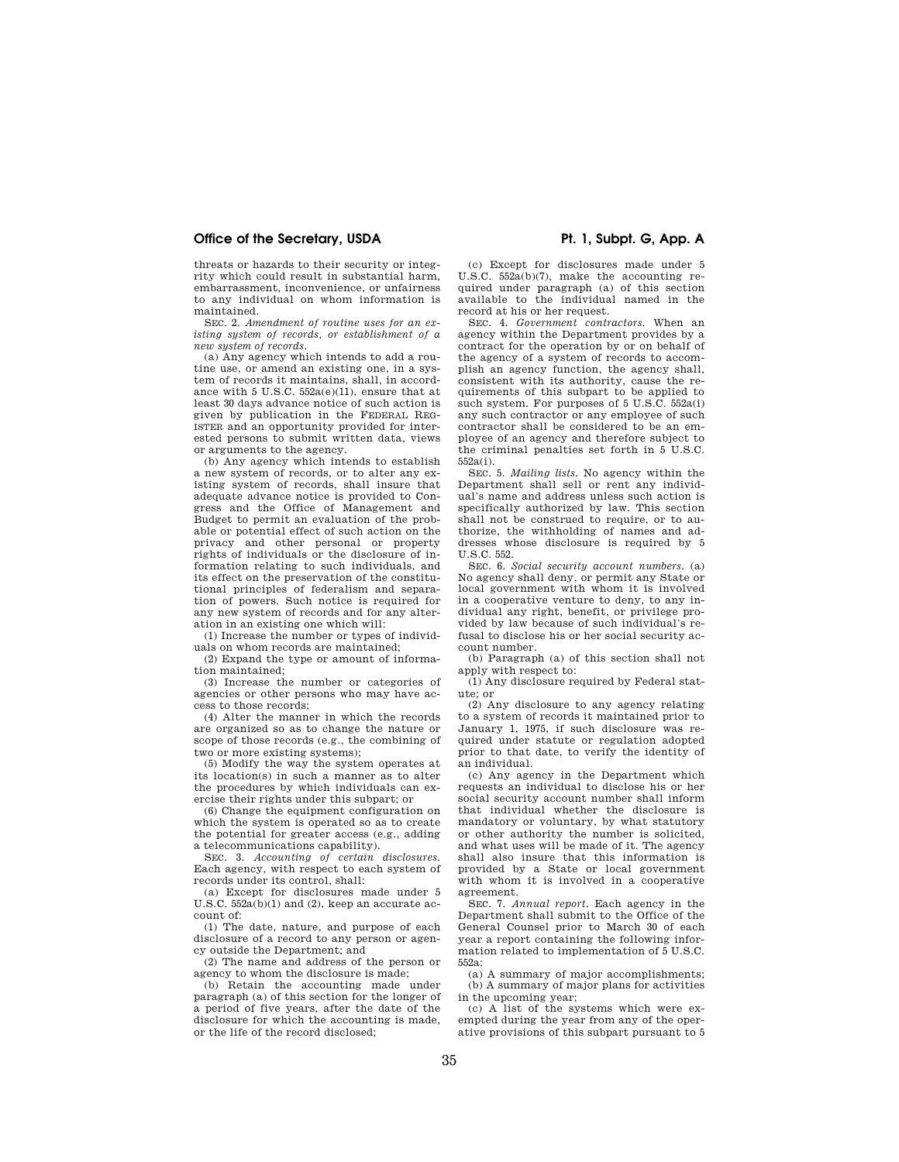## Office of the Secretary, USDA **Phillips Access 20 Pt. 1, Subpt. G, App. A**

threats or hazards to their security or integrity which could result in substantial harm, embarrassment, inconvenience, or unfairness to any individual on whom information is maintained.

SEC. 2. *Amendment of routine uses for an existing system of records, or establishment of a new system of records.* 

(a) Any agency which intends to add a routine use, or amend an existing one, in a system of records it maintains, shall, in accordance with 5 U.S.C. 552a(e)(11), ensure that at least 30 days advance notice of such action is given by publication in the FEDERAL REG-ISTER and an opportunity provided for interested persons to submit written data, views or arguments to the agency.

(b) Any agency which intends to establish a new system of records, or to alter any existing system of records, shall insure that adequate advance notice is provided to Congress and the Office of Management and Budget to permit an evaluation of the probable or potential effect of such action on the privacy and other personal or property rights of individuals or the disclosure of information relating to such individuals, and its effect on the preservation of the constitutional principles of federalism and separation of powers. Such notice is required for any new system of records and for any alteration in an existing one which will:

(1) Increase the number or types of individuals on whom records are maintained;

(2) Expand the type or amount of information maintained;

(3) Increase the number or categories of agencies or other persons who may have access to those records;

(4) Alter the manner in which the records are organized so as to change the nature or scope of those records (e.g., the combining of two or more existing systems);

(5) Modify the way the system operates at its location(s) in such a manner as to alter the procedures by which individuals can exercise their rights under this subpart; or

(6) Change the equipment configuration on which the system is operated so as to create the potential for greater access (e.g., adding a telecommunications capability).

SEC. 3. *Accounting of certain disclosures.*  Each agency, with respect to each system of records under its control, shall:

(a) Except for disclosures made under 5 U.S.C. 552a(b)(1) and (2), keep an accurate account of:

(1) The date, nature, and purpose of each disclosure of a record to any person or agency outside the Department; and

(2) The name and address of the person or agency to whom the disclosure is made;

(b) Retain the accounting made under paragraph (a) of this section for the longer of a period of five years, after the date of the disclosure for which the accounting is made, or the life of the record disclosed;

(c) Except for disclosures made under 5 U.S.C. 552a(b)(7), make the accounting required under paragraph (a) of this section available to the individual named in the record at his or her request.

SEC. 4. *Government contractors.* When an agency within the Department provides by a contract for the operation by or on behalf of the agency of a system of records to accomplish an agency function, the agency shall, consistent with its authority, cause the requirements of this subpart to be applied to such system. For purposes of 5 U.S.C. 552a(i) any such contractor or any employee of such contractor shall be considered to be an employee of an agency and therefore subject to the criminal penalties set forth in 5 U.S.C. 552a(i).

SEC. 5. *Mailing lists.* No agency within the Department shall sell or rent any individual's name and address unless such action is specifically authorized by law. This section shall not be construed to require, or to authorize, the withholding of names and addresses whose disclosure is required by 5 U.S.C. 552.

SEC. 6. *Social security account numbers.* (a) No agency shall deny, or permit any State or local government with whom it is involved in a cooperative venture to deny, to any individual any right, benefit, or privilege provided by law because of such individual's refusal to disclose his or her social security account number.

(b) Paragraph (a) of this section shall not apply with respect to:

(1) Any disclosure required by Federal statute; or

(2) Any disclosure to any agency relating to a system of records it maintained prior to January 1, 1975, if such disclosure was required under statute or regulation adopted prior to that date, to verify the identity of an individual.

(c) Any agency in the Department which requests an individual to disclose his or her social security account number shall inform that individual whether the disclosure is mandatory or voluntary, by what statutory or other authority the number is solicited, and what uses will be made of it. The agency shall also insure that this information is provided by a State or local government with whom it is involved in a cooperative agreement.

SEC. 7. *Annual report.* Each agency in the Department shall submit to the Office of the General Counsel prior to March 30 of each year a report containing the following information related to implementation of 5 U.S.C. 552a:

(a) A summary of major accomplishments; (b) A summary of major plans for activities in the upcoming year;

(c) A list of the systems which were exempted during the year from any of the operative provisions of this subpart pursuant to 5